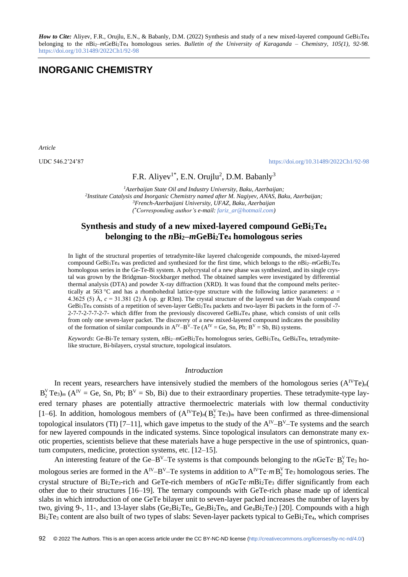*How to Cite:* Aliyev, F.R., Orujlu, E.N., & Babanly, D.M. (2022) Synthesis and study of a new mixed-layered compound GeBi3Te4 belonging to the *n*Bi2–*m*GeBi2Te<sup>4</sup> homologous series. *Bulletin of the University of Karaganda – Chemistry, 105(1), 92-98.*  <https://doi.org/10.31489/2022Ch1/92-98>

# **INORGANIC CHEMISTRY**

*Article*

UDC 546.2'24'87 <https://doi.org/10.31489/2022Ch1/92-98>

## F.R. Aliyev<sup>1\*</sup>, E.N. Orujlu<sup>2</sup>, D.M. Babanly<sup>3</sup>

*Azerbaijan State Oil and Industry University, Baku, Azerbaijan; Institute Catalysis and Inorganic Chemistry named after M. Nagiyev, ANAS, Baku, Azerbaijan; French-Azerbaijani University, UFAZ, Baku, Azerbaijan ( \*Corresponding author's e-mail: [fariz\\_ar@hotmail.com\)](mailto:fariz_ar@hotmail.com)*

### **Synthesis and study of a new mixed-layered compound GeBi3Te<sup>4</sup> belonging to the** *n***Bi2–***m***GeBi2Te<sup>4</sup> homologous series**

In light of the structural properties of tetradymite-like layered chalcogenide compounds, the mixed-layered compound GeBi<sub>3</sub>Te<sub>4</sub> was predicted and synthesized for the first time, which belongs to the  $nBi2-mGeBi2Te4$ homologous series in the Ge-Te-Bi system. A polycrystal of a new phase was synthesized, and its single crystal was grown by the Bridgman–Stockbarger method. The obtained samples were investigated by differential thermal analysis (DTA) and powder X-ray diffraction (XRD). It was found that the compound melts peritectically at 563 °C and has a rhombohedral lattice-type structure with the following lattice parameters:  $a =$ 4.3625 (5) Å, *c* = 31.381 (2) Å (sp. gr R3m). The crystal structure of the layered van der Waals compound GeBi3Te<sup>4</sup> consists of a repetition of seven-layer GeBi2Te<sup>4</sup> packets and two-layer Bi packets in the form of -7- 2-7-7-2-7-7-2-7- which differ from the previously discovered GeBi4Te<sup>4</sup> phase, which consists of unit cells from only one seven-layer packet. The discovery of a new mixed-layered compound indicates the possibility of the formation of similar compounds in  $A^{IV}-B^{V}-Te$  ( $A^{IV}=Ge$ , Sn, Pb;  $B^{V}=Sb$ , Bi) systems.

*Keywords*: Ge-Bi-Te ternary system, *n*Bi2–*m*GeBi2Te<sup>4</sup> homologous series, GeBi3Te4, GeBi4Te4, tetradymitelike structure, Bi-bilayers, crystal structure, topological insulators.

#### *Introduction*

In recent years, researchers have intensively studied the members of the homologous series  $(A^IVTe)_n(A^IVTe)_n$  $B_2^V$ Te<sub>3</sub>)<sub>*m*</sub> ( $A^IV = Ge$ , Sn, Pb;  $B^V = Sb$ , Bi) due to their extraordinary properties. These tetradymite-type layered ternary phases are potentially attractive thermoelectric materials with low thermal conductivity [1–6]. In addition, homologous members of  $(A^IVTe)_n(B_2^VTe_3)_m$  have been confirmed as three-dimensional topological insulators (TI) [7–11], which gave impetus to the study of the  $A^{IV}-B^{V}-Te$  systems and the search for new layered compounds in the indicated systems. Since topological insulators can demonstrate many exotic properties, scientists believe that these materials have a huge perspective in the use of spintronics, quantum computers, medicine, protection systems, etc. [12–15].

An interesting feature of the Ge–B<sup>V</sup>–Te systems is that compounds belonging to the *n*GeTe·  $B_2^V$  Te<sub>3</sub> homologous series are formed in the  $A^V - B^V - T$ e systems in addition to  $A^V T e \cdot m B_2^V T e_3$  homologous series. The crystal structure of Bi<sub>2</sub>Te<sub>3</sub>-rich and GeTe-rich members of *n*GeTe·*m*Bi<sub>2</sub>Te<sub>3</sub> differ significantly from each other due to their structures [16–19]. The ternary compounds with GeTe-rich phase made up of identical slabs in which introduction of one GeTe bilayer unit to seven-layer packed increases the number of layers by two, giving 9-, 11-, and 13-layer slabs (Ge<sub>2</sub>Bi<sub>2</sub>Te<sub>5</sub>, Ge<sub>3</sub>Bi<sub>2</sub>Te<sub>6</sub>, and Ge<sub>4</sub>Bi<sub>2</sub>Te<sub>7</sub>) [20]. Compounds with a high Bi2Te<sup>3</sup> content are also built of two types of slabs: Seven-layer packets typical to GeBi2Te4, which comprises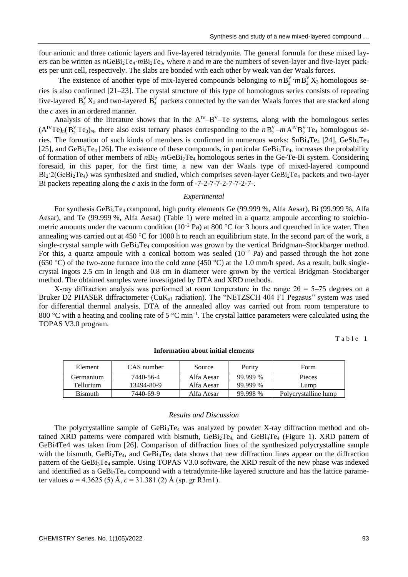four anionic and three cationic layers and five-layered tetradymite. The general formula for these mixed layers can be written as  $n\text{GeBi}_2\text{Te}_3$ *m*Bi<sub>2</sub>Te<sub>3</sub>, where *n* and *m* are the numbers of seven-layer and five-layer packets per unit cell, respectively. The slabs are bonded with each other by weak van der Waals forces.

The existence of another type of mix-layered compounds belonging to  $n B_2^V \cdot m B_2^V X_3$  homologous series is also confirmed [21–23]. The crystal structure of this type of homologous series consists of repeating five-layered  $B_2^V X_3$  and two-layered  $B_2^V$  packets connected by the van der Waals forces that are stacked along the *c* axes in an ordered manner.

Analysis of the literature shows that in the  $A^{IV}-B^{V}-Te$  systems, along with the homologous series  $(A^IVTe)_n(B_2^VTe_3)_m$ , there also exist ternary phases corresponding to the  $nB_2^V-mA^IVB_2^VTe_4$  homologous series. The formation of such kinds of members is confirmed in numerous works:  $SnBi<sub>4</sub>Te<sub>4</sub>$  [24],  $GeSb<sub>4</sub>Te<sub>4</sub>$ [25], and GeBi<sub>4</sub>Te<sub>4</sub> [26]. The existence of these compounds, in particular GeBi<sub>4</sub>Te<sub>4</sub>, increases the probability of formation of other members of  $nBi<sub>2</sub>-mGeBi<sub>2</sub>Te<sub>4</sub>$  homologous series in the Ge-Te-Bi system. Considering foresaid, in this paper, for the first time, a new van der Waals type of mixed-layered compound  $Bi_2$ :  $2(GeBi_2Te_4)$  was synthesized and studied, which comprises seven-layer  $GeBi_2Te_4$  packets and two-layer Bi packets repeating along the *c* axis in the form of -7-2-7-7-2-7-7-2-7-.

### *Experimental*

For synthesis GeBi<sub>3</sub>Te<sub>4</sub> compound, high purity elements Ge (99.999 %, Alfa Aesar), Bi (99.999 %, Alfa Aesar), and Te (99.999 %, Alfa Aesar) (Table 1) were melted in a quartz ampoule according to stoichiometric amounts under the vacuum condition ( $10^{-2}$  Pa) at 800 °C for 3 hours and quenched in ice water. Then annealing was carried out at 450 °C for 1000 h to reach an equilibrium state. In the second part of the work, a single-crystal sample with GeBi<sub>3</sub>Te<sub>4</sub> composition was grown by the vertical Bridgman–Stockbarger method. For this, a quartz ampoule with a conical bottom was sealed  $(10^{-2}$  Pa) and passed through the hot zone (650 °C) of the two-zone furnace into the cold zone (450 °C) at the 1.0 mm/h speed. As a result, bulk singlecrystal ingots 2.5 cm in length and 0.8 cm in diameter were grown by the vertical Bridgman–Stockbarger method. The obtained samples were investigated by DTA and XRD methods.

X-ray diffraction analysis was performed at room temperature in the range  $2\theta = 5-75$  degrees on a Bruker D2 PHASER diffractometer (CuK<sub>al</sub> radiation). The "NETZSCH 404 F1 Pegasus" system was used for differential thermal analysis. DTA of the annealed alloy was carried out from room temperature to 800 °C with a heating and cooling rate of 5 °C min<sup>-1</sup>. The crystal lattice parameters were calculated using the TOPAS V3.0 program.

Table 1

| Element        | CAS number | Source     | Purity   | Form                 |
|----------------|------------|------------|----------|----------------------|
| Germanium      | 7440-56-4  | Alfa Aesar | 99.999 % | Pieces               |
| Tellurium      | 13494-80-9 | Alfa Aesar | 99.999 % | Lump                 |
| <b>Bismuth</b> | 7440-69-9  | Alfa Aesar | 99.998 % | Polycrystalline lump |

### **Information about initial elements**

#### *Results and Discussion*

The polycrystalline sample of GeBi3Te<sup>4</sup> was analyzed by powder X-ray diffraction method and obtained XRD patterns were compared with bismuth,  $GeBi<sub>4</sub>Te<sub>4</sub>$  and  $GeBi<sub>4</sub>Te<sub>4</sub>$  (Figure 1). XRD pattern of GeBi4Te4 was taken from [26]. Comparison of diffraction lines of the synthesized polycrystalline sample with the bismuth,  $GeBi<sub>2</sub>Te<sub>4</sub>$ , and  $GeBi<sub>4</sub>Te<sub>4</sub>$  data shows that new diffraction lines appear on the diffraction pattern of the GeBi3Te<sup>4</sup> sample. Using TOPAS V3.0 software, the XRD result of the new phase was indexed and identified as a GeBi<sub>3</sub>Te<sub>4</sub> compound with a tetradymite-like layered structure and has the lattice parameter values  $a = 4.3625(5)$  Å,  $c = 31.381(2)$  Å (sp. gr R3m1).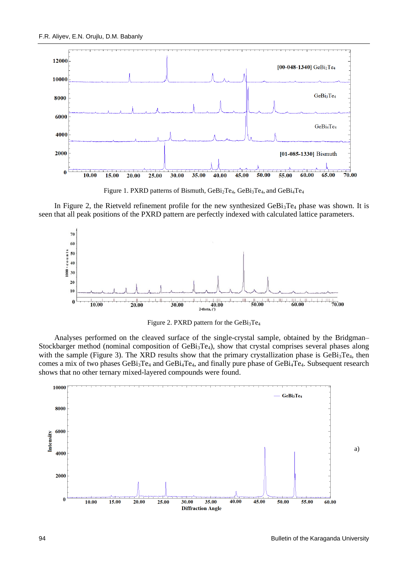

Figure 1. PXRD patterns of Bismuth, GeBi<sub>2</sub>Te<sub>4</sub>, GeBi<sub>3</sub>Te<sub>4</sub>, and GeBi<sub>4</sub>Te<sub>4</sub>

In Figure 2, the Rietveld refinement profile for the new synthesized GeBi<sub>3</sub>Te<sub>4</sub> phase was shown. It is seen that all peak positions of the PXRD pattern are perfectly indexed with calculated lattice parameters.



Figure 2. PXRD pattern for the  $GeBi<sub>3</sub>Te<sub>4</sub>$ 

Analyses performed on the cleaved surface of the single-crystal sample, obtained by the Bridgman– Stockbarger method (nominal composition of GeBi<sub>3</sub>Te<sub>4</sub>), show that crystal comprises several phases along with the sample (Figure 3). The XRD results show that the primary crystallization phase is GeBi<sub>3</sub>Te<sub>4</sub>, then comes a mix of two phases GeBi<sub>3</sub>Te<sub>4</sub> and GeBi<sub>4</sub>Te<sub>4</sub>, and finally pure phase of GeBi<sub>4</sub>Te<sub>4</sub>. Subsequent research shows that no other ternary mixed-layered compounds were found.

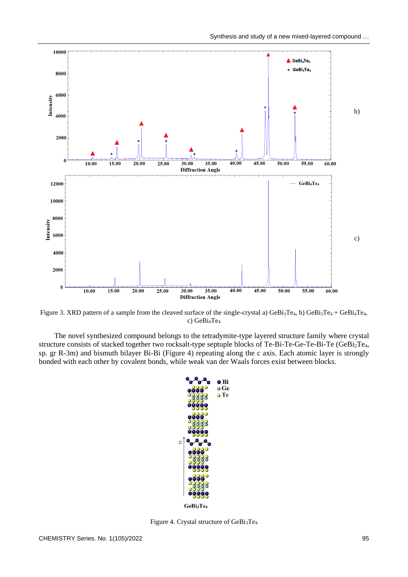

Figure 3. XRD pattern of a sample from the cleaved surface of the single-crystal a)  $GeBi_3Te_4$ , b)  $GeBi_3Te_4 + GeBi_4Te_4$ , c) GeBi4Te<sup>4</sup>

The novel synthesized compound belongs to the tetradymite-type layered structure family where crystal structure consists of stacked together two rocksalt-type septuple blocks of Te-Bi-Te-Ge-Te-Bi-Te (GeBi<sub>2</sub>Te<sub>4</sub>, sp. gr R-3m) and bismuth bilayer Bi-Bi (Figure 4) repeating along the c axis. Each atomic layer is strongly bonded with each other by covalent bonds, while weak van der Waals forces exist between blocks.



Figure 4. Crystal structure of GeBi3Te4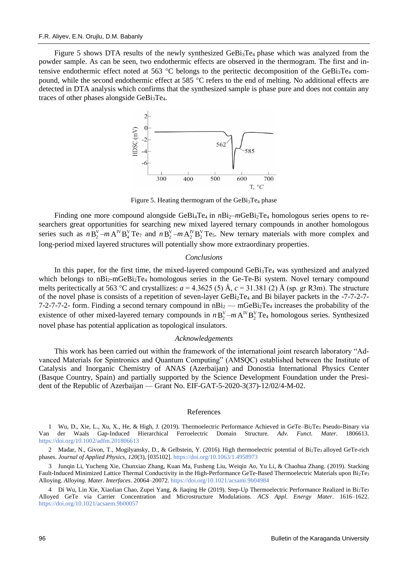Figure 5 shows DTA results of the newly synthesized GeBi<sub>3</sub>Te<sub>4</sub> phase which was analyzed from the powder sample. As can be seen, two endothermic effects are observed in the thermogram. The first and intensive endothermic effect noted at 563 °C belongs to the peritectic decomposition of the GeBi<sub>3</sub>Te<sub>4</sub> compound, while the second endothermic effect at 585  $^{\circ}$ C refers to the end of melting. No additional effects are detected in DTA analysis which confirms that the synthesized sample is phase pure and does not contain any traces of other phases alongside GeBi3Te4.



Figure 5. Heating thermogram of the GeBi3Te<sup>4</sup> phase

Finding one more compound alongside  $GeBi_4Te_4$  in  $nBi_2-mGeBi_2Te_4$  homologous series opens to researchers great opportunities for searching new mixed layered ternary compounds in another homologous series such as  $nB_2^V - mA^V B_4^V Te_7$  and  $nB_2^V - mA_2^V B_2^V Te_5$ . New ternary materials with more complex and long-period mixed layered structures will potentially show more extraordinary properties.

#### *Conclusions*

In this paper, for the first time, the mixed-layered compound GeBi<sub>3</sub>Te<sub>4</sub> was synthesized and analyzed which belongs to nBi<sub>2</sub>-mGeBi<sub>2</sub>Te<sub>4</sub> homologous series in the Ge-Te-Bi system. Novel ternary compound melts peritectically at 563 °C and crystallizes:  $a = 4.3625$  (5) Å,  $c = 31.381$  (2) Å (sp. gr R3m). The structure of the novel phase is consists of a repetition of seven-layer GeBi<sub>2</sub>Te<sub>4</sub> and Bi bilayer packets in the -7-7-2-7-7-2-7-7-2- form. Finding a second ternary compound in  $nBi_2$  — mGeBi<sub>2</sub>Te<sub>4</sub> increases the probability of the existence of other mixed-layered ternary compounds in  $nB_2^V - mA^{IV}B_2^V$ Te<sub>4</sub> homologous series. Synthesized novel phase has potential application as topological insulators.

#### *Acknowledgements*

This work has been carried out within the framework of the international joint research laboratory "Advanced Materials for Spintronics and Quantum Computing" (AMSQC) established between the Institute of Catalysis and Inorganic Chemistry of ANAS (Azerbaijan) and Donostia International Physics Center (Basque Country, Spain) and partially supported by the Science Development Foundation under the President of the Republic of Azerbaijan — Grant No. EIF-GAT-5-2020-3(37)-12/02/4-M-02.

#### References

1 Wu, D., Xie, L., Xu, X., He, & High, J. (2019). Thermoelectric Performance Achieved in GeTe–Bi2Te<sup>3</sup> Pseudo-Binary via Van der Waals Gap-Induced Hierarchical Ferroelectric Domain Structure. *Adv. Funct. Mater*. 1806613. <https://doi.org/10.1002/adfm.201806613>

2 Madar, N., Givon, T., Mogilyansky, D., & Gelbstein, Y. (2016). High thermoelectric potential of Bi2Te3 alloyed GeTe-rich phases. *Journal of Applied Physics*, *120*(3), [035102]. <https://doi.org/10.1063/1.4958973>

3 Junqin Li, Yucheng Xie, Chunxiao Zhang, Kuan Ma, Fusheng Liu, Weiqin Ao, Yu Li, & Chaohua Zhang. (2019). Stacking Fault-Induced Minimized Lattice Thermal Conductivity in the High-Performance GeTe-Based Thermoelectric Materials upon Bi2Te<sup>3</sup> Alloying. *Alloying. Mater. Interfaces*. 20064–20072[. https://doi.org/10.1021/acsami.9b04984](https://doi.org/10.1021/acsami.9b04984)

4 Di Wu, Lin Xie, Xiaolian Chao, Zupei Yang, & Jiaqing He (2019). Step-Up Thermoelectric Performance Realized in Bi2Te<sup>3</sup> Alloyed GeTe via Carrier Concentration and Microstructure Modulations. *ACS Appl. Energy Mater*. 1616–1622. <https://doi.org/10.1021/acsaem.9b00057>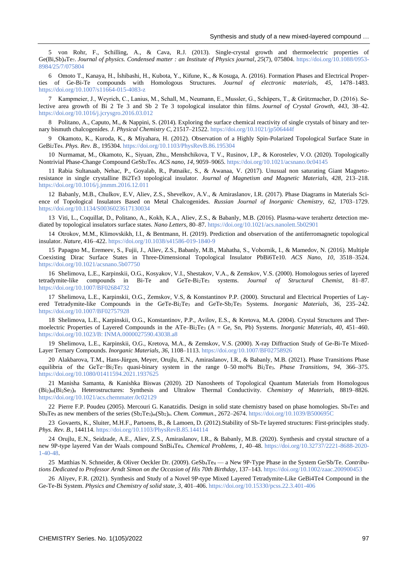5 von Rohr, F., Schilling, A., & Cava, R.J. (2013). Single-crystal growth and thermoelectric properties of Ge(Bi,Sb)<sub>4</sub>Te7. *Journal of physics. Condensed matter : an Institute of Physics journal, 25(7), 075804. [https://doi.org/10.1088/0953-](https://doi.org/10.1088/0953-8984/25/7/075804)* [8984/25/7/075804](https://doi.org/10.1088/0953-8984/25/7/075804)

6 Omoto T., Kanaya, H., İshibashi, H., Kubota, Y., Kifune, K., & Kosuga, A. (2016). Formation Phases and Electrical Properties of Ge-Bi-Te compounds with Homologous Structures. *Journal of electronic materials, 45*, 1478–1483. <https://doi.org/10.1007/s11664-015-4083-z>

7 Kampmeier, J., Weyrich, C., Lanius, M., Schall, M., Neumann, E., Mussler, G., Schäpers, T., & Grützmacher, D. (2016). Selective area growth of Bi 2 Te 3 and Sb 2 Te 3 topological insulator thin films. *Journal of Crystal Growth, 443*, 38–42. <https://doi.org/10.1016/j.jcrysgro.2016.03.012>

8 Politano, A., Caputo, M., & Nappini, S. (2014). Exploring the surface chemical reactivity of single crystals of binary and ternary bismuth chalcogenides. *J. Physical Chemistry C*, 21517–21522.<https://doi.org/10.1021/jp506444f>

9 Okamoto, K., Kuroda, K., & Miyahara, H. (2012). Observation of a Highly Spin-Polarized Topological Surface State in GeBi2Te4. *Phys. Rev. B.*, 195304[. https://doi.org/10.1103/PhysRevB.86.195304](https://doi.org/10.1103/PhysRevB.86.195304)

10 Nurmamat, M., Okamoto, K., Siyuan, Zhu., Menshchikova, T V., Rusinov, I.P., & Korostelev, V.O. (2020). Topologically Nontrivial Phase-Change Compound GeSb2Te4. *ACS nano, 14,* 9059–9065[. https://doi.org/10.1021/acsnano.0c04145](https://doi.org/10.1021/acsnano.0c04145)

11 Rabia Sultanaab, Nehac, P., Goyalab, R., Patnaikc, S., & Awanaa, V. (2017). Unusual non saturating Giant Magnetoresistance in single crystalline Bi2Te3 topological insulator. *Journal of Magnetism and Magnetic Materials, 428*, 213–218. <https://doi.org/10.1016/j.jmmm.2016.12.011>

12 Babanly, M.B., Chulkov, E.V, Aliev, Z.S., Shevelkov, A.V., & Amiraslanov, I.R. (2017). Phase Diagrams in Materials Science of Topological Insulators Based on Metal Chalcogenides. *Russian Journal of Inorganic Chemistry, 62,* 1703–1729. <https://doi.org/10.1134/S0036023617130034>

13 Viti, L., Coquillat, D., Politano, A., Kokh, K.A., Aliev, Z.S., & Babanly, M.B. (2016). Plasma-wave terahertz detection mediated by topological insulators surface states. *Nano Letters*, 80–87.<https://doi.org/10.1021/acs.nanolett.5b02901>

14 Otrokov, M.M., Klimovskikh, I.I., & Bentmann, H. (2019). Prediction and observation of the antiferromagnetic topological insulator. *Nature*, 416–422.<https://doi.org/10.1038/s41586-019-1840-9>

15 Papagno M., Eremeev, S., Fujii, J., Aliev, Z.S., Babanly, M.B., Mahatha, S., Vobornik, I., & Mamedov, N. (2016). Multiple Coexisting Dirac Surface States in Three-Dimensional Topological Insulator PbBi6Te10. *ACS Nano, 10*, 3518–3524. <https://doi.org/10.1021/acsnano.5b07750>

16 Shelimova, L.E., Karpinskii, O.G., Kosyakov, V.I., Shestakov, V.A., & Zemskov, V.S. (2000). Homologous series of layered tetradymite-like compounds in Bi-Te and GeTe-Bi2Te<sup>3</sup> systems. *Journal of Structural Chemist*, 81–87. <https://doi.org/10.1007/BF02684732>

17 Shelimova, L.E., Karpinskii, O.G., Zemskov, V.S, & Konstantinov P.P. (2000). Structural and Electrical Properties of Layered Tetradymite-like Compounds in the GeTe-Bi<sub>2</sub>Te<sub>3</sub> and GeTe-Sb<sub>2</sub>Te<sub>3</sub> Systems. *Inorganic Materials*, 36, 235–242. <https://doi.org/10.1007/BF02757928>

18 Shelimova, L.E., Karpinskii, O.G., Konstantinov, P.P., Avilov, E.S., & Kretova, M.A. (2004). Crystal Structures and Thermoelectric Properties of Layered Compounds in the ATe–Bi2Te<sup>3</sup> (A = Ge, Sn, Pb) Systems. *Inorganic Materials, 40*, 451–460. [https://doi.org/10.1023/B: INMA.0000027590.43038.a8](https://doi.org/10.1023/B:INMA.0000027590.43038.a8)

19 Shelimova, L.E., Karpinskii, O.G., Kretova, M.A., & Zemskov, V.S. (2000). X-ray Diffraction Study of Ge-Bi-Te Mixed-Layer Ternary Compounds. *Inorganic Materials, 36*, 1108–1113[. https://doi.org/10.1007/BF02758926](https://doi.org/10.1007/BF02758926)

20 Alakbarova, T.M., Hans-Jürgen, Meyer, Orujlu, E.N., Amiraslanov, I.R., & Babanly, M.B. (2021). Phase Transitions Phase equilibria of the GeTe−Bi2Te<sup>3</sup> quasi-binary system in the range 0–50 mol% Bi2Te3. *Phase Transitions, 94*, 366–375. <https://doi.org/10.1080/01411594.2021.1937625>

21 Manisha Samanta, & Kanishka Biswas (2020). 2D Nanosheets of Topological Quantum Materials from Homologous (Bi2)*m*(Bi2Se3)*<sup>n</sup>* Heterostructures: Synthesis and Ultralow Thermal Conductivity. *Chemistry of Materials*, 8819–8826. <https://doi.org/10.1021/acs.chemmater.0c02129>

22 Pierre F.P. Poudeu (2005). Mercouri G. Kanatzidis. Design in solid state chemistry based on phase homologies. Sb<sub>4</sub>Te<sub>3</sub> and Sb8Te<sup>9</sup> as new members of the series (Sb2Te3)*m*(Sb2)*n*. *Chem. Commun*., 2672–2674.<https://doi.org/10.1039/B500695C>

23 Govaerts, K., Sluiter, M.H.F., Partoens, B., & Lamoen, D. (2012).Stability of Sb-Te layered structures: First-principles study. *Phys. Rev. B.*, 144114[. https://doi.org/10.1103/PhysRevB.85.144114](https://doi.org/10.1103/PhysRevB.85.144114)

24 Orujlu, E.N., Seidzade, A.E., Aliev, Z.S., Amiraslanov, I.R., & Babanly, M.B. (2020). Synthesis and crystal structure of a new 9P-type layered Van der Waals compound SnBi4Te4. *Chemical Problems, 1*, 40–48. [https://doi.org/10.32737/2221-8688-2020-](https://doi.org/10.32737/2221-8688-2020-1-40-48) [1-40-48.](https://doi.org/10.32737/2221-8688-2020-1-40-48)

25 Matthias N. Schneider, & Oliver Oeckler Dr. (2009). GeSb4Te<sup>4</sup> — a New 9P‐Type Phase in the System Ge/Sb/Te. *Contributions Dedicated to Professor Arndt Simon on the Occasion of His 70th Birthday*, 137–143[. https://doi.org/10.1002/zaac.200900453](https://doi.org/10.1002/zaac.200900453)

26 Aliyev, F.R. (2021). Synthesis and Study of a Novel 9P-type Mixed Layered Tetradymite-Like GeBi4Te4 Compound in the Ge-Te-Bi System. *Physics and Chemistry of solid state, 3*, 401–406[. https://doi.org/10.15330/pcss.22.3.401-406](https://doi.org/10.15330/pcss.22.3.401-406)